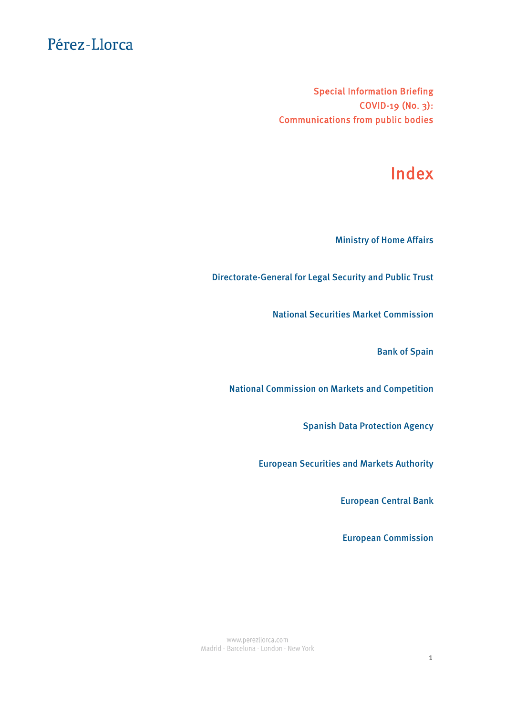Special Information Briefing COVID-19 (No. 3): Communications from public bodies

# Index

[Ministry of Home Affairs](#page-1-0)

[Directorate-General for Legal Security and Public Trust](#page-2-0)

[National Securities Market Commission](#page-3-0)

[Bank of Spain](#page-5-0)

[National Commission on Markets and Competition](#page-6-0)

[Spanish Data Protection Agency](#page-7-0)

[European Securities and Markets Authority](#page-10-0)

[European Central Bank](#page-11-0)

[European Commission](#page-13-0)

www.perezllorca.com Madrid - Barcelona - London - New York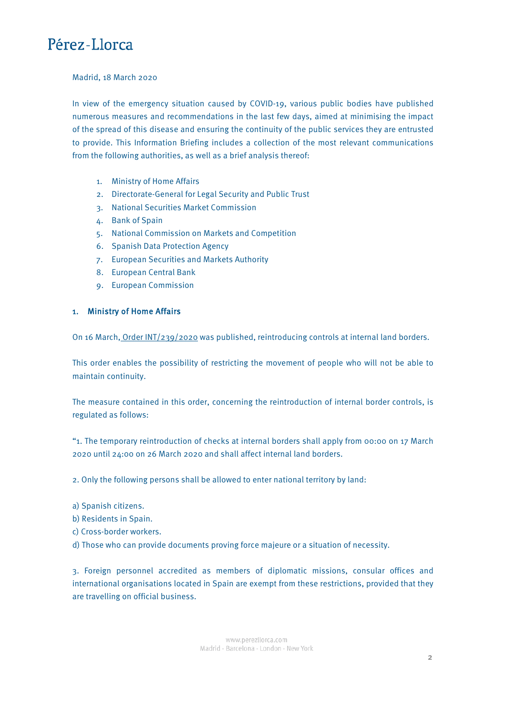#### <span id="page-1-0"></span>Madrid, 18 March 2020

In view of the emergency situation caused by COVID-19, various public bodies have published numerous measures and recommendations in the last few days, aimed at minimising the impact of the spread of this disease and ensuring the continuity of the public services they are entrusted to provide. This Information Briefing includes a collection of the most relevant communications from the following authorities, as well as a brief analysis thereof:

- 1. Ministry of Home Affairs
- 2. Directorate-General for Legal Security and Public Trust
- 3. National Securities Market Commission
- 4. Bank of Spain
- 5. National Commission on Markets and Competition
- 6. Spanish Data Protection Agency
- 7. European Securities and Markets Authority
- 8. European Central Bank
- 9. European Commission

### 1. Ministry of Home Affairs

On 16 March, [Order INT/239/2020](https://www.boe.es/diario_boe/txt.php?id=BOE-A-2020-3776) was published, reintroducing controls at internal land borders.

This order enables the possibility of restricting the movement of people who will not be able to maintain continuity.

The measure contained in this order, concerning the reintroduction of internal border controls, is regulated as follows:

"1. The temporary reintroduction of checks at internal borders shall apply from 00:00 on 17 March 2020 until 24:00 on 26 March 2020 and shall affect internal land borders.

2. Only the following persons shall be allowed to enter national territory by land:

- a) Spanish citizens.
- b) Residents in Spain.
- c) Cross-border workers.
- d) Those who can provide documents proving force majeure or a situation of necessity.

3. Foreign personnel accredited as members of diplomatic missions, consular offices and international organisations located in Spain are exempt from these restrictions, provided that they are travelling on official business.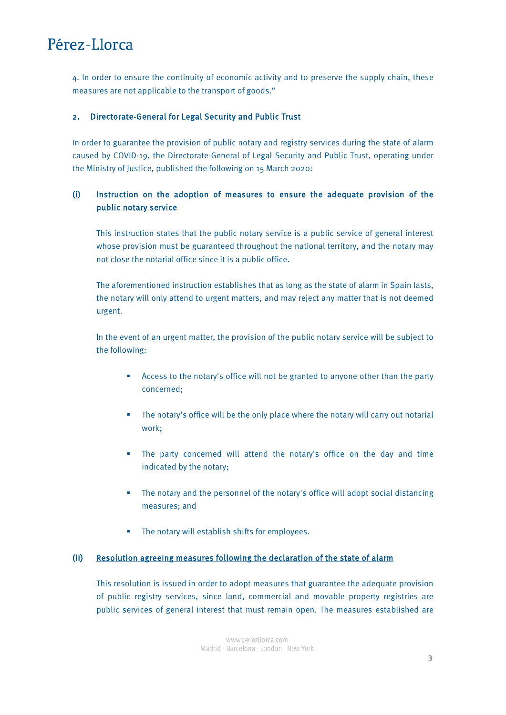<span id="page-2-0"></span>4. In order to ensure the continuity of economic activity and to preserve the supply chain, these measures are not applicable to the transport of goods."

### 2. Directorate-General for Legal Security and Public Trust

In order to guarantee the provision of public notary and registry services during the state of alarm caused by COVID-19, the Directorate-General of Legal Security and Public Trust, operating under the Ministry of Justice, published the following on 15 March 2020:

## (i) [Instruction on the adoption of measures to ensure the adequate provision of the](http://intranet.perez-llorca.net/Biblioteca/Documents/INSTRUCCIO%CC%81N%20DGSJyFP%2015-03-2020.pdf)  [public notary service](http://intranet.perez-llorca.net/Biblioteca/Documents/INSTRUCCIO%CC%81N%20DGSJyFP%2015-03-2020.pdf)

This instruction states that the public notary service is a public service of general interest whose provision must be guaranteed throughout the national territory, and the notary may not close the notarial office since it is a public office.

The aforementioned instruction establishes that as long as the state of alarm in Spain lasts, the notary will only attend to urgent matters, and may reject any matter that is not deemed urgent.

In the event of an urgent matter, the provision of the public notary service will be subject to the following:

- Access to the notary's office will not be granted to anyone other than the party concerned;
- The notary's office will be the only place where the notary will carry out notarial work;
- The party concerned will attend the notary's office on the day and time indicated by the notary;
- The notary and the personnel of the notary's office will adopt social distancing measures; and
- **Fig. 4** The notary will establish shifts for employees.

#### (ii) Resolution agreeing measures following the declaration of the state of alarm

This resolution is issued in order to adopt measures that guarantee the adequate provision of public registry services, since land, commercial and movable property registries are public services of general interest that must remain open. The measures established are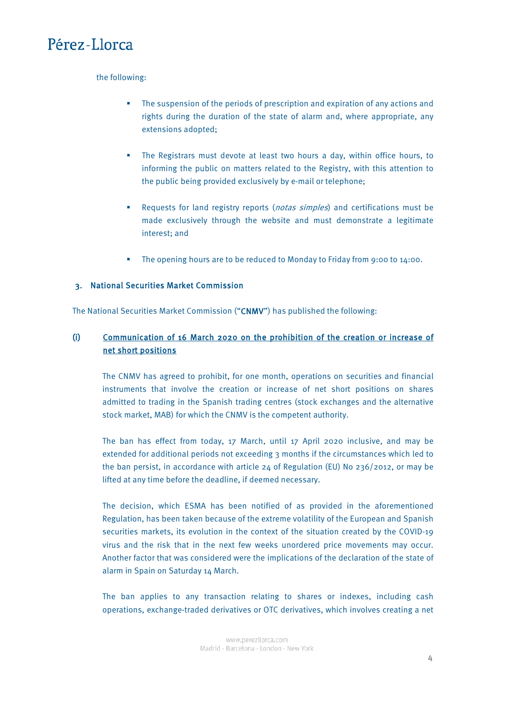### <span id="page-3-0"></span>the following:

- **The suspension of the periods of prescription and expiration of any actions and** rights during the duration of the state of alarm and, where appropriate, any extensions adopted;
- The Registrars must devote at least two hours a day, within office hours, to informing the public on matters related to the Registry, with this attention to the public being provided exclusively by e-mail or telephone;
- Requests for land registry reports (notas simples) and certifications must be made exclusively through the website and must demonstrate a legitimate interest; and
- The opening hours are to be reduced to Monday to Friday from 9:00 to 14:00.

### 3. National Securities Market Commission

The National Securities Market Commission ("CNMV") has published the following:

## (i) [Communication of 16 March 2020 on the prohibition of the creation or increase of](https://www.cnmv.es/portal/verDoc.axd?t=%7bec400229-cbc3-4ac7-a4b4-e7d18c5cdec2%7d)  [net short positions](https://www.cnmv.es/portal/verDoc.axd?t=%7bec400229-cbc3-4ac7-a4b4-e7d18c5cdec2%7d)

The CNMV has agreed to prohibit, for one month, operations on securities and financial instruments that involve the creation or increase of net short positions on shares admitted to trading in the Spanish trading centres (stock exchanges and the alternative stock market, MAB) for which the CNMV is the competent authority.

The ban has effect from today, 17 March, until 17 April 2020 inclusive, and may be extended for additional periods not exceeding 3 months if the circumstances which led to the ban persist, in accordance with article 24 of Regulation (EU) No 236/2012, or may be lifted at any time before the deadline, if deemed necessary.

The decision, which ESMA has been notified of as provided in the aforementioned Regulation, has been taken because of the extreme volatility of the European and Spanish securities markets, its evolution in the context of the situation created by the COVID-19 virus and the risk that in the next few weeks unordered price movements may occur. Another factor that was considered were the implications of the declaration of the state of alarm in Spain on Saturday 14 March.

The ban applies to any transaction relating to shares or indexes, including cash operations, exchange-traded derivatives or OTC derivatives, which involves creating a net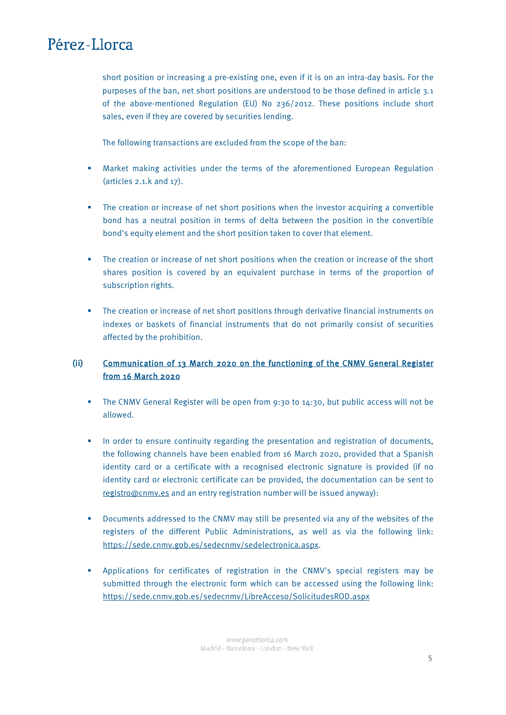short position or increasing a pre-existing one, even if it is on an intra-day basis. For the purposes of the ban, net short positions are understood to be those defined in article 3.1 of the above-mentioned Regulation (EU) No 236/2012. These positions include short sales, even if they are covered by securities lending.

The following transactions are excluded from the scope of the ban:

- Market making activities under the terms of the aforementioned European Regulation (articles 2.1.k and 17).
- The creation or increase of net short positions when the investor acquiring a convertible bond has a neutral position in terms of delta between the position in the convertible bond's equity element and the short position taken to cover that element.
- The creation or increase of net short positions when the creation or increase of the short shares position is covered by an equivalent purchase in terms of the proportion of subscription rights.
- The creation or increase of net short positions through derivative financial instruments on indexes or baskets of financial instruments that do not primarily consist of securities affected by the prohibition.

## (ii) [Communication of 13 March 2020 on the functioning of the CNMV General Register](http://cnmv.es/DocPortal/AlDia/RegistrosOficialesFuncionamiento.pdf)  [from 16 March 2020](http://cnmv.es/DocPortal/AlDia/RegistrosOficialesFuncionamiento.pdf)

- The CNMV General Register will be open from 9:30 to 14:30, but public access will not be allowed.
- In order to ensure continuity regarding the presentation and registration of documents, the following channels have been enabled from 16 March 2020, provided that a Spanish identity card or a certificate with a recognised electronic signature is provided (if no identity card or electronic certificate can be provided, the documentation can be sent to [registro@cnmv.es](mailto:registro@cnmv.es) and an entry registration number will be issued anyway):
- Documents addressed to the CNMV may still be presented via any of the websites of the registers of the different Public Administrations, as well as via the following link: [https://sede.cnmv.gob.es/sedecnmv/sedelectronica.aspx.](https://sede.cnmv.gob.es/sedecnmv/sedelectronica.aspx)
- Applications for certificates of registration in the CNMV's special registers may be submitted through the electronic form which can be accessed using the following link: <https://sede.cnmv.gob.es/sedecnmv/LibreAcceso/SolicitudesROD.aspx>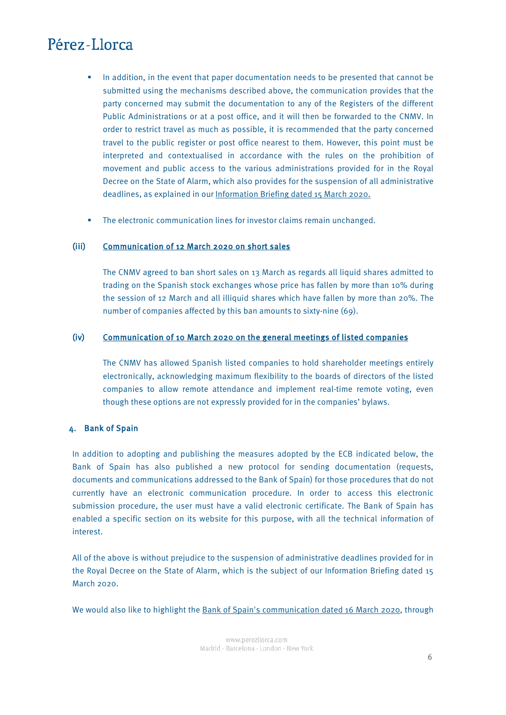- <span id="page-5-0"></span> In addition, in the event that paper documentation needs to be presented that cannot be submitted using the mechanisms described above, the communication provides that the party concerned may submit the documentation to any of the Registers of the different Public Administrations or at a post office, and it will then be forwarded to the CNMV. In order to restrict travel as much as possible, it is recommended that the party concerned travel to the public register or post office nearest to them. However, this point must be interpreted and contextualised in accordance with the rules on the prohibition of movement and public access to the various administrations provided for in the Royal Decree on the State of Alarm, which also provides for the suspension of all administrative deadlines, as explained in our Information Briefing dated 15 March 2020.
- **The electronic communication lines for investor claims remain unchanged.**

### (iii) [Communication of 12 March 2020 on short sales](http://cnmv.es/portal/verDoc.axd?t=%7bb62da23d-a60b-436c-b6d3-eb6141b146d6%7d)

The CNMV agreed to ban short sales on 13 March as regards all liquid shares admitted to trading on the Spanish stock exchanges whose price has fallen by more than 10% during the session of 12 March and all illiquid shares which have fallen by more than 20%. The number of companies affected by this ban amounts to sixty-nine (69).

### (iv) [Communication of 10 March 2020 on the general meetings of listed companies](https://www.cnmv.es/portal/verDoc.axd?t=%7b3802886d-7418-4765-9f9c-50877abccdd4%7d)

The CNMV has allowed Spanish listed companies to hold shareholder meetings entirely electronically, acknowledging maximum flexibility to the boards of directors of the listed companies to allow remote attendance and implement real-time remote voting, even though these options are not expressly provided for in the companies' bylaws.

### 4. Bank of Spain

In addition to adopting and publishing the measures adopted by the ECB indicated below, the Bank of Spain has also published a new protocol for sending documentation (requests, documents and communications addressed to the Bank of Spain) for those procedures that do not currently have an electronic communication procedure. In order to access this electronic submission procedure, the user must have a valid electronic certificate. The Bank of Spain has enabled a [specific section](https://sedeelectronica.bde.es/sede/es/tablon/2020/envio-de-documentacion-por-registro-electronico-c9f97a34d49c071.html) on its website for this purpose, with all the technical information of interest.

All of the above is without prejudice to the suspension of administrative deadlines provided for in the Royal Decree on the State of Alarm, which is the subject of our Information Briefing dated 15 March 2020.

We would also like to highlight the [Bank of Spain's communication dated 16 March 2020,](https://www.bde.es/f/webbde/GAP/Secciones/SalaPrensa/NotasInformativas/20/presbe2020_21.pdf) through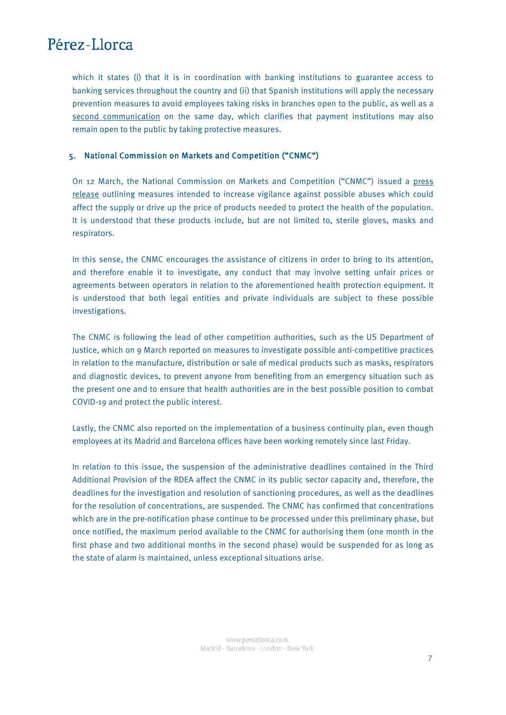<span id="page-6-0"></span>which it states (i) that it is in coordination with banking institutions to guarantee access to banking services throughout the country and (ii) that Spanish institutions will apply the necessary prevention measures to avoid employees taking risks in branches open to the public, as well as a [second communication](https://www.bde.es/f/webbde/GAP/Secciones/SalaPrensa/NotasInformativas/20/presbe2020_22.pdf) on the same day, which clarifies that payment institutions may also remain open to the public by taking protective measures.

### 5. National Commission on Markets and Competition ("CNMC")

On 12 March, the National Commission on Markets and Competition ("CNMC") issued a [press](https://www.cnmc.es/prensa/cnmc-medidas-covid-19-20200312)  [release](https://www.cnmc.es/prensa/cnmc-medidas-covid-19-20200312) outlining measures intended to increase vigilance against possible abuses which could affect the supply or drive up the price of products needed to protect the health of the population. It is understood that these products include, but are not limited to, sterile gloves, masks and respirators.

In this sense, the CNMC encourages the assistance of citizens in order to bring to its attention, and therefore enable it to investigate, any conduct that may involve setting unfair prices or agreements between operators in relation to the aforementioned health protection equipment. It is understood that both legal entities and private individuals are subject to these possible investigations.

The CNMC is following the lead of other competition authorities, such as the US Department of Justice, which on 9 March reported on measures to investigate possible anti-competitive practices in relation to the manufacture, distribution or sale of medical products such as masks, respirators and diagnostic devices, to prevent anyone from benefiting from an emergency situation such as the present one and to ensure that health authorities are in the best possible position to combat COVID-19 and protect the public interest.

Lastly, the CNMC also reported on the implementation of a business continuity plan, even though employees at its Madrid and Barcelona offices have been working remotely since last Friday.

In relation to this issue, the suspension of the administrative deadlines contained in the Third Additional Provision of the RDEA affect the CNMC in its public sector capacity and, therefore, the deadlines for the investigation and resolution of sanctioning procedures, as well as the deadlines for the resolution of concentrations, are suspended. The CNMC has confirmed that concentrations which are in the pre-notification phase continue to be processed under this preliminary phase, but once notified, the maximum period available to the CNMC for authorising them (one month in the first phase and two additional months in the second phase) would be suspended for as long as the state of alarm is maintained, unless exceptional situations arise.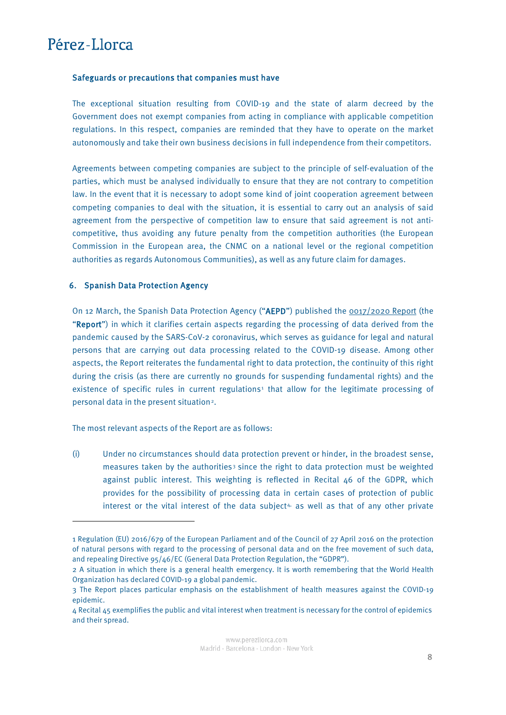$\overline{a}$ 

#### <span id="page-7-0"></span>Safeguards or precautions that companies must have

The exceptional situation resulting from COVID-19 and the state of alarm decreed by the Government does not exempt companies from acting in compliance with applicable competition regulations. In this respect, companies are reminded that they have to operate on the market autonomously and take their own business decisions in full independence from their competitors.

Agreements between competing companies are subject to the principle of self-evaluation of the parties, which must be analysed individually to ensure that they are not contrary to competition law. In the event that it is necessary to adopt some kind of joint cooperation agreement between competing companies to deal with the situation, it is essential to carry out an analysis of said agreement from the perspective of competition law to ensure that said agreement is not anticompetitive, thus avoiding any future penalty from the competition authorities (the European Commission in the European area, the CNMC on a national level or the regional competition authorities as regards Autonomous Communities), as well as any future claim for damages.

#### 6. Spanish Data Protection Agency

On 12 March, the Spanish Data Protection Agency ("AEPD") published the [0017/2020 Report](https://www.aepd.es/es/documento/2020-0017.pdf) (the "Report") in which it clarifies certain aspects regarding the processing of data derived from the pandemic caused by the SARS-CoV-2 coronavirus, which serves as guidance for legal and natural persons that are carrying out data processing related to the COVID-19 disease. Among other aspects, the Report reiterates the fundamental right to data protection, the continuity of this right during the crisis (as there are currently no grounds for suspending fundamental rights) and the existence of specific rules in current regulations<sup>[1](#page-7-1)</sup> that allow for the legitimate processing of personal data in the present situation<sup>2</sup>.

The most relevant aspects of the Report are as follows:

(i) Under no circumstances should data protection prevent or hinder, in the broadest sense, measures taken by the authorities $3$  since the right to data protection must be weighted against public interest. This weighting is reflected in Recital 46 of the GDPR, which provides for the possibility of processing data in certain cases of protection of public interest or the vital interest of the data subject<sup>[4,](#page-8-0)</sup> as well as that of any other private

<sup>1</sup> Regulation (EU) 2016/679 of the European Parliament and of the Council of 27 April 2016 on the protection of natural persons with regard to the processing of personal data and on the free movement of such data, and repealing Directive 95/46/EC (General Data Protection Regulation, the "GDPR").

<span id="page-7-1"></span><sup>2</sup> A situation in which there is a general health emergency. It is worth remembering that the World Health Organization has declared COVID-19 a global pandemic.

<span id="page-7-2"></span><sup>3</sup> The Report places particular emphasis on the establishment of health measures against the COVID-19 epidemic.

<span id="page-7-3"></span><sup>4</sup> Recital 45 exemplifies the public and vital interest when treatment is necessary for the control of epidemics and their spread.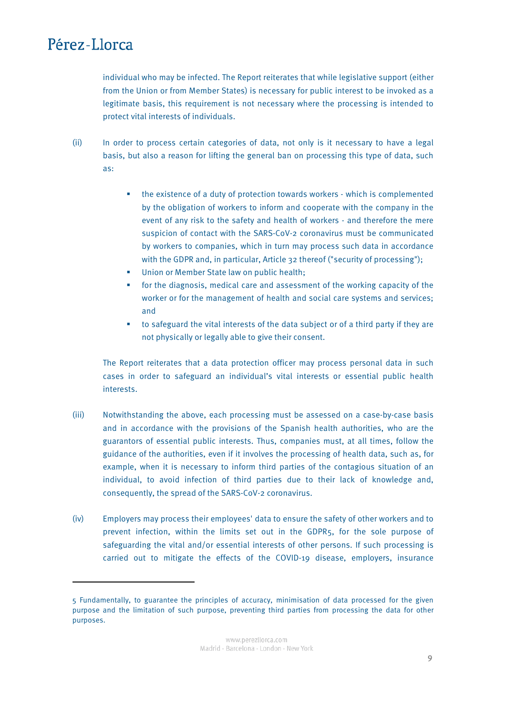**.** 

individual who may be infected. The Report reiterates that while legislative support (either from the Union or from Member States) is necessary for public interest to be invoked as a legitimate basis, this requirement is not necessary where the processing is intended to protect vital interests of individuals.

- (ii) In order to process certain categories of data, not only is it necessary to have a legal basis, but also a reason for lifting the general ban on processing this type of data, such as:
	- the existence of a duty of protection towards workers which is complemented by the obligation of workers to inform and cooperate with the company in the event of any risk to the safety and health of workers - and therefore the mere suspicion of contact with the SARS-CoV-2 coronavirus must be communicated by workers to companies, which in turn may process such data in accordance with the GDPR and, in particular, Article 32 thereof ("security of processing");
	- Union or Member State law on public health;
	- for the diagnosis, medical care and assessment of the working capacity of the worker or for the management of health and social care systems and services; and
	- to safeguard the vital interests of the data subject or of a third party if they are not physically or legally able to give their consent.

The Report reiterates that a data protection officer may process personal data in such cases in order to safeguard an individual's vital interests or essential public health interests.

- (iii) Notwithstanding the above, each processing must be assessed on a case-by-case basis and in accordance with the provisions of the Spanish health authorities, who are the guarantors of essential public interests. Thus, companies must, at all times, follow the guidance of the authorities, even if it involves the processing of health data, such as, for example, when it is necessary to inform third parties of the contagious situation of an individual, to avoid infection of third parties due to their lack of knowledge and, consequently, the spread of the SARS-CoV-2 coronavirus.
- (iv) Employers may process their employees' data to ensure the safety of other workers and to prevent infection, within the limits set out in the GDPR[5,](#page-9-0) for the sole purpose of safeguarding the vital and/or essential interests of other persons. If such processing is carried out to mitigate the effects of the COVID-19 disease, employers, insurance

<span id="page-8-0"></span><sup>5</sup> Fundamentally, to guarantee the principles of accuracy, minimisation of data processed for the given purpose and the limitation of such purpose, preventing third parties from processing the data for other purposes.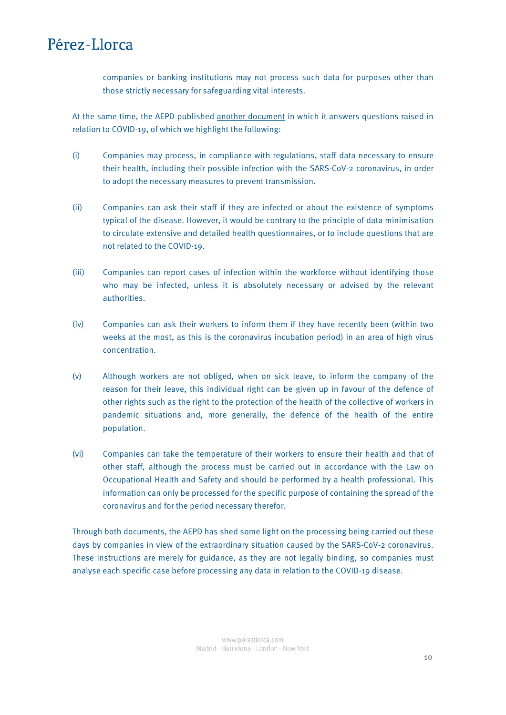companies or banking institutions may not process such data for purposes other than those strictly necessary for safeguarding vital interests.

At the same time, the AEPD published [another document](https://www.aepd.es/sites/default/files/2020-03/FAQ-COVID19.pdf) in which it answers questions raised in relation to COVID-19, of which we highlight the following:

- (i) Companies may process, in compliance with regulations, staff data necessary to ensure their health, including their possible infection with the SARS-CoV-2 coronavirus, in order to adopt the necessary measures to prevent transmission.
- (ii) Companies can ask their staff if they are infected or about the existence of symptoms typical of the disease. However, it would be contrary to the principle of data minimisation to circulate extensive and detailed health questionnaires, or to include questions that are not related to the COVID-19.
- (iii) Companies can report cases of infection within the workforce without identifying those who may be infected, unless it is absolutely necessary or advised by the relevant authorities.
- (iv) Companies can ask their workers to inform them if they have recently been (within two weeks at the most, as this is the coronavirus incubation period) in an area of high virus concentration.
- (v) Although workers are not obliged, when on sick leave, to inform the company of the reason for their leave, this individual right can be given up in favour of the defence of other rights such as the right to the protection of the health of the collective of workers in pandemic situations and, more generally, the defence of the health of the entire population.
- (vi) Companies can take the temperature of their workers to ensure their health and that of other staff, although the process must be carried out in accordance with the Law on Occupational Health and Safety and should be performed by a health professional. This information can only be processed for the specific purpose of containing the spread of the coronavirus and for the period necessary therefor.

<span id="page-9-0"></span>Through both documents, the AEPD has shed some light on the processing being carried out these days by companies in view of the extraordinary situation caused by the SARS-CoV-2 coronavirus. These instructions are merely for guidance, as they are not legally binding, so companies must analyse each specific case before processing any data in relation to the COVID-19 disease.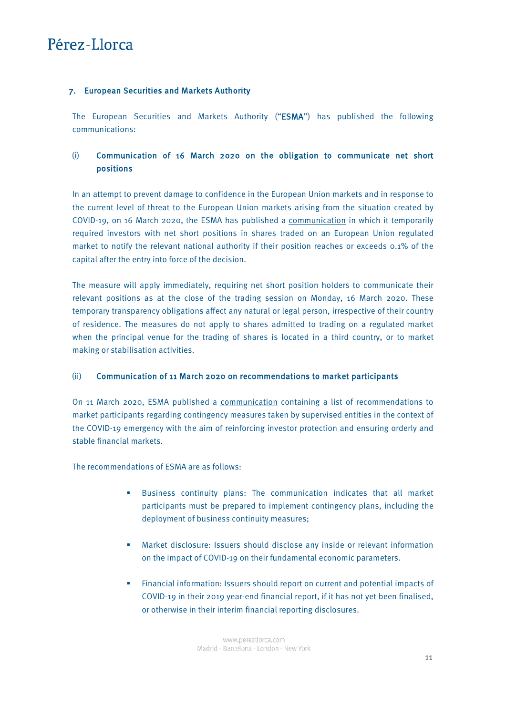### <span id="page-10-0"></span>7. European Securities and Markets Authority

The European Securities and Markets Authority ("ESMA") has published the following communications:

## (i) Communication of 16 March 2020 on the obligation to communicate net short positions

In an attempt to prevent damage to confidence in the European Union markets and in response to the current level of threat to the European Union markets arising from the situation created by COVID-19, on 16 March 2020, the ESMA has published a [communication](https://www.esma.europa.eu/press-news/esma-news/esma-requires-net-short-position-holders-report-positions-01-and-above) in which it temporarily required investors with net short positions in shares traded on an European Union regulated market to notify the relevant national authority if their position reaches or exceeds 0.1% of the capital after the entry into force of the decision.

The measure will apply immediately, requiring net short position holders to communicate their relevant positions as at the close of the trading session on Monday, 16 March 2020. These temporary transparency obligations affect any natural or legal person, irrespective of their country of residence. The measures do not apply to shares admitted to trading on a regulated market when the principal venue for the trading of shares is located in a third country, or to market making or stabilisation activities.

### (ii) Communication of 11 March 2020 on recommendations to market participants

On 11 March 2020, ESMA published a [communication](https://www.esma.europa.eu/press-news/esma-news/esma-recommends-action-financial-market-participants-covid-19-impact) containing a list of recommendations to market participants regarding contingency measures taken by supervised entities in the context of the COVID-19 emergency with the aim of reinforcing investor protection and ensuring orderly and stable financial markets.

The recommendations of ESMA are as follows:

- Business continuity plans: The communication indicates that all market participants must be prepared to implement contingency plans, including the deployment of business continuity measures;
- Market disclosure: Issuers should disclose any inside or relevant information on the impact of COVID-19 on their fundamental economic parameters.
- Financial information: Issuers should report on current and potential impacts of COVID-19 in their 2019 year-end financial report, if it has not yet been finalised, or otherwise in their interim financial reporting disclosures.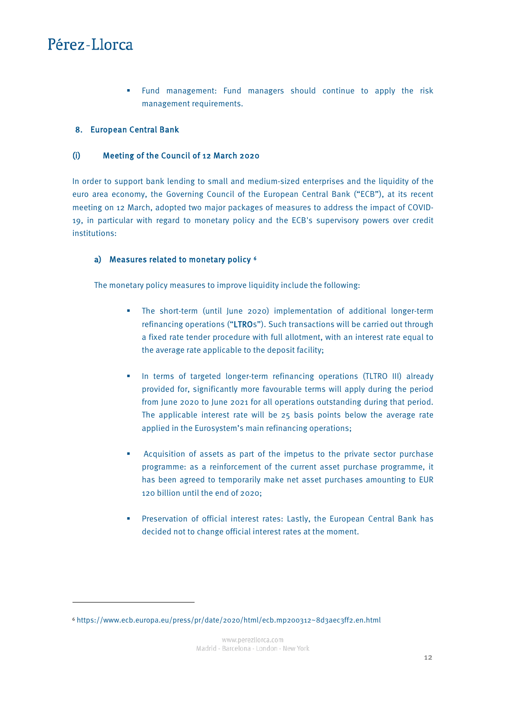$\overline{a}$ 

 Fund management: Fund managers should continue to apply the risk management requirements.

### <span id="page-11-0"></span>8. European Central Bank

### (i) Meeting of the Council of 12 March 2020

In order to support bank lending to small and medium-sized enterprises and the liquidity of the euro area economy, the Governing Council of the European Central Bank ("ECB"), at its recent meeting on 12 March, adopted two major packages of measures to address the impact of COVID-19, in particular with regard to monetary policy and the ECB's supervisory powers over credit institutions:

### a) Measures related to monetary policy [6](#page-11-1)

The monetary policy measures to improve liquidity include the following:

- The short-term (until June 2020) implementation of additional longer-term refinancing operations ("LTROs"). Such transactions will be carried out through a fixed rate tender procedure with full allotment, with an interest rate equal to the average rate applicable to the deposit facility;
- In terms of targeted longer-term refinancing operations (TLTRO III) already provided for, significantly more favourable terms will apply during the period from June 2020 to June 2021 for all operations outstanding during that period. The applicable interest rate will be 25 basis points below the average rate applied in the Eurosystem's main refinancing operations;
- Acquisition of assets as part of the impetus to the private sector purchase programme: as a reinforcement of the current asset purchase programme, it has been agreed to temporarily make net asset purchases amounting to EUR 120 billion until the end of 2020;
- Preservation of official interest rates: Lastly, the European Central Bank has decided not to change official interest rates at the moment.

<span id="page-11-1"></span><sup>6</sup> https://www.ecb.europa.eu/press/pr/date/2020/html/ecb.mp200312~8d3aec3ff2.en.html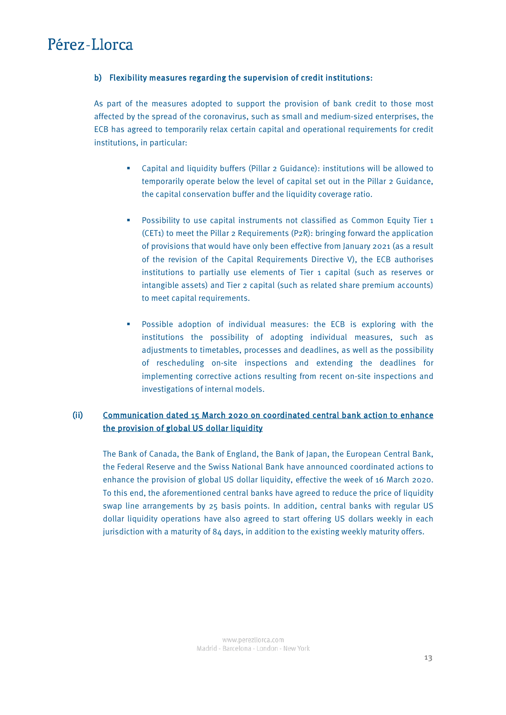### b) Flexibility measures regarding the supervision of credit institutions:

As part of the measures adopted to support the provision of bank credit to those most affected by the spread of the coronavirus, such as small and medium-sized enterprises, the ECB has agreed to temporarily relax certain capital and operational requirements for credit institutions, in particular:

- Capital and liquidity buffers (Pillar 2 Guidance): institutions will be allowed to temporarily operate below the level of capital set out in the Pillar 2 Guidance, the capital conservation buffer and the liquidity coverage ratio.
- **Possibility to use capital instruments not classified as Common Equity Tier 1** (CET1) to meet the Pillar 2 Requirements (P2R): bringing forward the application of provisions that would have only been effective from January 2021 (as a result of the revision of the Capital Requirements Directive V), the ECB authorises institutions to partially use elements of Tier 1 capital (such as reserves or intangible assets) and Tier 2 capital (such as related share premium accounts) to meet capital requirements.
- Possible adoption of individual measures: the ECB is exploring with the institutions the possibility of adopting individual measures, such as adjustments to timetables, processes and deadlines, as well as the possibility of rescheduling on-site inspections and extending the deadlines for implementing corrective actions resulting from recent on-site inspections and investigations of internal models.

## (ii) [Communication dated 15 March 2020 on coordinated central bank action to enhance](https://www.ecb.europa.eu/press/pr/date/2020/html/ecb.pr200315%7E1fab6a9f1f.en.html)  [the provision of global US dollar liquidity](https://www.ecb.europa.eu/press/pr/date/2020/html/ecb.pr200315%7E1fab6a9f1f.en.html)

The Bank of Canada, the Bank of England, the Bank of Japan, the European Central Bank, the Federal Reserve and the Swiss National Bank have announced coordinated actions to enhance the provision of global US dollar liquidity, effective the week of 16 March 2020. To this end, the aforementioned central banks have agreed to reduce the price of liquidity swap line arrangements by 25 basis points. In addition, central banks with regular US dollar liquidity operations have also agreed to start offering US dollars weekly in each jurisdiction with a maturity of 84 days, in addition to the existing weekly maturity offers.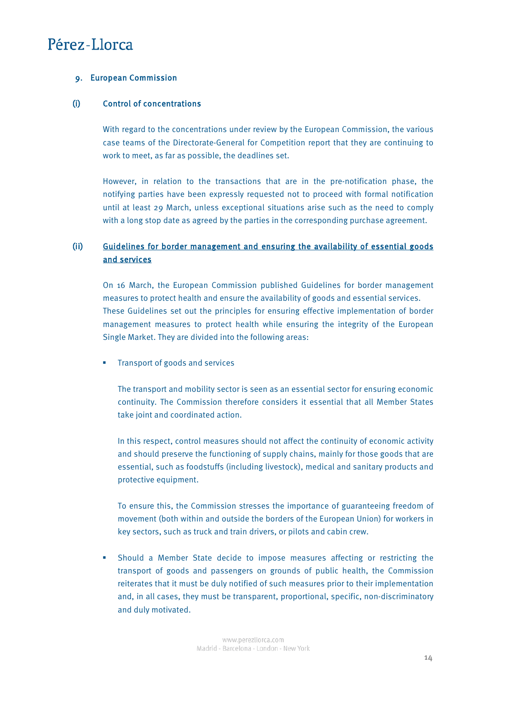### <span id="page-13-0"></span>9. European Commission

### (i) Control of concentrations

With regard to the concentrations under review by the European Commission, the various case teams of the Directorate-General for Competition report that they are continuing to work to meet, as far as possible, the deadlines set.

However, in relation to the transactions that are in the pre-notification phase, the notifying parties have been expressly requested not to proceed with formal notification until at least 29 March, unless exceptional situations arise such as the need to comply with a long stop date as agreed by the parties in the corresponding purchase agreement.

## (ii) [Guidelines for border management and ensuring the availability of essential goods](https://ec.europa.eu/home-affairs/sites/homeaffairs/files/what-we-do/policies/european-agenda-migration/20200316_covid-19-guidelines-for-border-management.pdf)  [and services](https://ec.europa.eu/home-affairs/sites/homeaffairs/files/what-we-do/policies/european-agenda-migration/20200316_covid-19-guidelines-for-border-management.pdf)

On 16 March, the European Commission published Guidelines for border management measures to protect health and ensure the availability of goods and essential services. These Guidelines set out the principles for ensuring effective implementation of border management measures to protect health while ensuring the integrity of the European Single Market. They are divided into the following areas:

**Transport of goods and services** 

The transport and mobility sector is seen as an essential sector for ensuring economic continuity. The Commission therefore considers it essential that all Member States take joint and coordinated action.

In this respect, control measures should not affect the continuity of economic activity and should preserve the functioning of supply chains, mainly for those goods that are essential, such as foodstuffs (including livestock), medical and sanitary products and protective equipment.

To ensure this, the Commission stresses the importance of guaranteeing freedom of movement (both within and outside the borders of the European Union) for workers in key sectors, such as truck and train drivers, or pilots and cabin crew.

 Should a Member State decide to impose measures affecting or restricting the transport of goods and passengers on grounds of public health, the Commission reiterates that it must be duly notified of such measures prior to their implementation and, in all cases, they must be transparent, proportional, specific, non-discriminatory and duly motivated.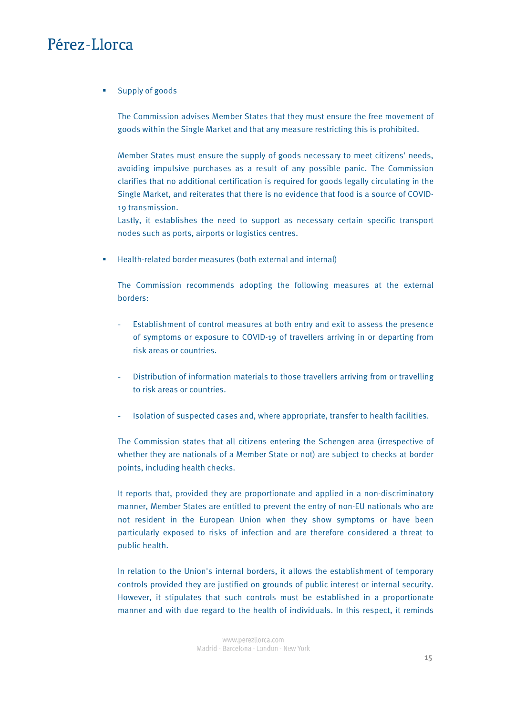**Supply of goods** 

The Commission advises Member States that they must ensure the free movement of goods within the Single Market and that any measure restricting this is prohibited.

Member States must ensure the supply of goods necessary to meet citizens' needs, avoiding impulsive purchases as a result of any possible panic. The Commission clarifies that no additional certification is required for goods legally circulating in the Single Market, and reiterates that there is no evidence that food is a source of COVID-19 transmission.

Lastly, it establishes the need to support as necessary certain specific transport nodes such as ports, airports or logistics centres.

Health-related border measures (both external and internal)

The Commission recommends adopting the following measures at the external borders:

- Establishment of control measures at both entry and exit to assess the presence of symptoms or exposure to COVID-19 of travellers arriving in or departing from risk areas or countries.
- Distribution of information materials to those travellers arriving from or travelling to risk areas or countries.
- Isolation of suspected cases and, where appropriate, transfer to health facilities.

The Commission states that all citizens entering the Schengen area (irrespective of whether they are nationals of a Member State or not) are subject to checks at border points, including health checks.

It reports that, provided they are proportionate and applied in a non-discriminatory manner, Member States are entitled to prevent the entry of non-EU nationals who are not resident in the European Union when they show symptoms or have been particularly exposed to risks of infection and are therefore considered a threat to public health.

In relation to the Union's internal borders, it allows the establishment of temporary controls provided they are justified on grounds of public interest or internal security. However, it stipulates that such controls must be established in a proportionate manner and with due regard to the health of individuals. In this respect, it reminds